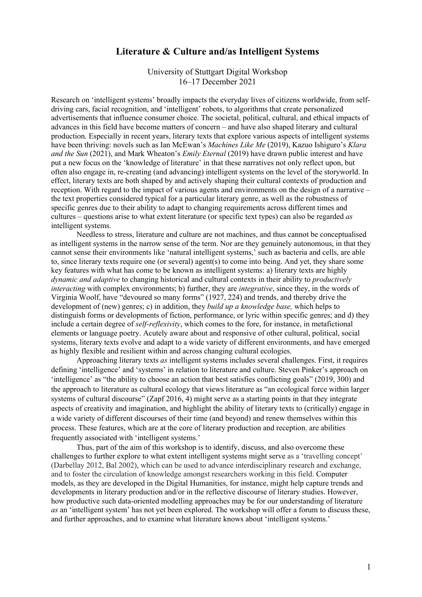## **Literature & Culture and/as Intelligent Systems**

University of Stuttgart Digital Workshop 16–17 December 2021

Research on 'intelligent systems' broadly impacts the everyday lives of citizens worldwide, from selfdriving cars, facial recognition, and 'intelligent' robots, to algorithms that create personalized advertisements that influence consumer choice. The societal, political, cultural, and ethical impacts of advances in this field have become matters of concern – and have also shaped literary and cultural production. Especially in recent years, literary texts that explore various aspects of intelligent systems have been thriving: novels such as Ian McEwan's *Machines Like Me* (2019), Kazuo Ishiguro's *Klara and the Sun* (2021), and Mark Wheaton's *Emily Eternal* (2019) have drawn public interest and have put a new focus on the 'knowledge of literature' in that these narratives not only reflect upon, but often also engage in, re-creating (and advancing) intelligent systems on the level of the storyworld. In effect, literary texts are both shaped by and actively shaping their cultural contexts of production and reception. With regard to the impact of various agents and environments on the design of a narrative – the text properties considered typical for a particular literary genre, as well as the robustness of specific genres due to their ability to adapt to changing requirements across different times and cultures – questions arise to what extent literature (or specific text types) can also be regarded *as*  intelligent systems.

Needless to stress, literature and culture are not machines, and thus cannot be conceptualised as intelligent systems in the narrow sense of the term. Nor are they genuinely autonomous, in that they cannot sense their environments like 'natural intelligent systems,' such as bacteria and cells, are able to, since literary texts require one (or several) agent(s) to come into being. And yet, they share some key features with what has come to be known as intelligent systems: a) literary texts are highly *dynamic and adaptive* to changing historical and cultural contexts in their ability to *productively interacting* with complex environments; b) further, they are *integrative*, since they, in the words of Virginia Woolf, have "devoured so many forms" (1927, 224) and trends, and thereby drive the development of (new) genres; c) in addition, they *build up a knowledge base,* which helps to distinguish forms or developments of fiction, performance, or lyric within specific genres; and d) they include a certain degree of *self-reflexivity*, which comes to the fore, for instance, in metafictional elements or language poetry. Acutely aware about and responsive of other cultural, political, social systems, literary texts evolve and adapt to a wide variety of different environments, and have emerged as highly flexible and resilient within and across changing cultural ecologies.

Approaching literary texts *as* intelligent systems includes several challenges. First, it requires defining 'intelligence' and 'systems' in relation to literature and culture. Steven Pinker's approach on 'intelligence' as "the ability to choose an action that best satisfies conflicting goals" (2019, 300) and the approach to literature as cultural ecology that views literature as "an ecological force within larger systems of cultural discourse" (Zapf 2016, 4) might serve as a starting points in that they integrate aspects of creativity and imagination, and highlight the ability of literary texts to (critically) engage in a wide variety of different discourses of their time (and beyond) and renew themselves within this process. These features, which are at the core of literary production and reception, are abilities frequently associated with 'intelligent systems.'

Thus, part of the aim of this workshop is to identify, discuss, and also overcome these challenges to further explore to what extent intelligent systems might serve as a 'travelling concept' (Darbellay 2012, Bal 2002), which can be used to advance interdisciplinary research and exchange, and to foster the circulation of knowledge amongst researchers working in this field. Computer models, as they are developed in the Digital Humanities, for instance, might help capture trends and developments in literary production and/or in the reflective discourse of literary studies. However, how productive such data-oriented modelling approaches may be for our understanding of literature *as* an 'intelligent system' has not yet been explored. The workshop will offer a forum to discuss these, and further approaches, and to examine what literature knows about 'intelligent systems.'